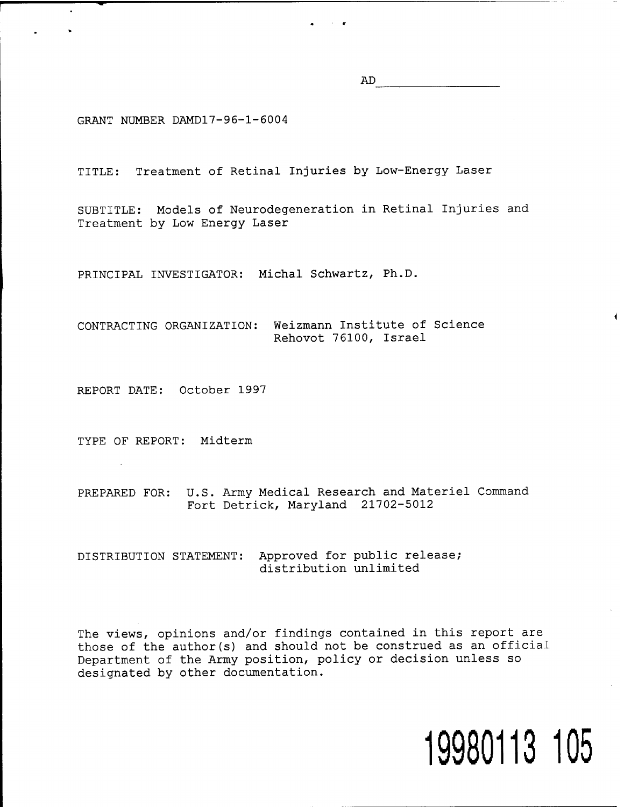AD

GRANT NUMBER DAMD17-96-1-6004

TITLE: Treatment of Retinal Injuries by Low-Energy Laser

SUBTITLE: Models of Neurodegeneration in Retinal Injuries and Treatment by Low Energy Laser

*<sup>m</sup>* r

PRINCIPAL INVESTIGATOR: Michal Schwartz, Ph.D.

CONTRACTING ORGANIZATION: Weizmann Institute of Science Rehovot 76100, Israel

REPORT DATE: October 1997

TYPE OF REPORT: Midterm

PREPARED FOR: U.S. Army Medical Research and Materiel Command Fort Detrick, Maryland 21702-5012

DISTRIBUTION STATEMENT: Approved for public release; distribution unlimited

The views, opinions and/or findings contained in this report are those of the author(s) and should not be construed as an official Department of the Army position, policy or decision unless so designated by other documentation.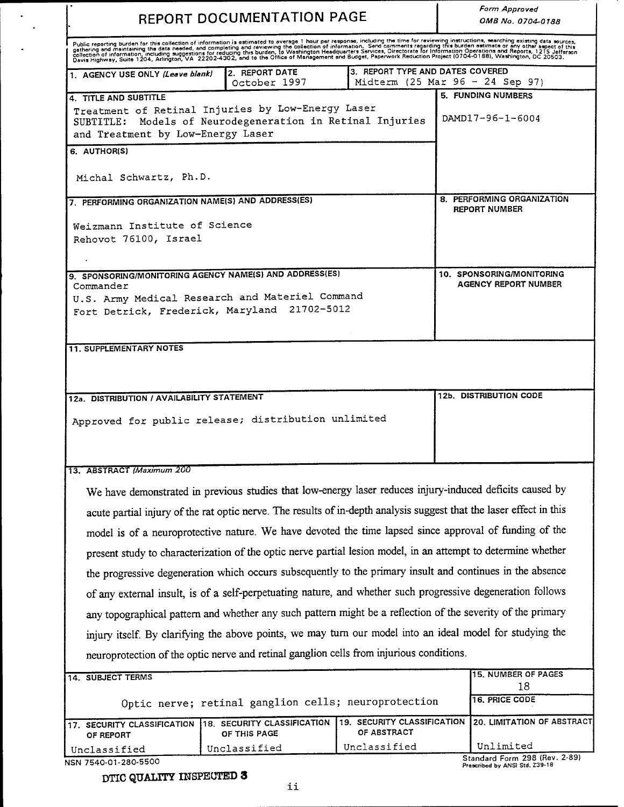| REPORT DOCUMENTATION PAGE                                                                                                                           |                                                                                                 |                                                          | <b>Form Approved</b><br>OMB No. 0704-0188                                                                                                                                                                                         |
|-----------------------------------------------------------------------------------------------------------------------------------------------------|-------------------------------------------------------------------------------------------------|----------------------------------------------------------|-----------------------------------------------------------------------------------------------------------------------------------------------------------------------------------------------------------------------------------|
|                                                                                                                                                     |                                                                                                 |                                                          | Public reporting burden for this collection of information is estimated to average 1 hour per response, including the time for reviewing instructions, searching existing data sources,<br>gathering and maintaining the data nee |
| 1. AGENCY USE ONLY (Leave blank)                                                                                                                    | 2. REPORT DATE<br>October 1997                                                                  | 3. REPORT TYPE AND DATES COVERED                         | Midterm $(25 \text{ Mar } 96 - 24 \text{ Sep } 97)$                                                                                                                                                                               |
| 4. TITLE AND SUBTITLE                                                                                                                               |                                                                                                 |                                                          | <b>5. FUNDING NUMBERS</b>                                                                                                                                                                                                         |
| Treatment of Retinal Injuries by Low-Energy Laser<br>SUBTITLE: Models of Neurodegeneration in Retinal Injuries<br>and Treatment by Low-Energy Laser |                                                                                                 |                                                          | DAMD17-96-1-6004                                                                                                                                                                                                                  |
| 6. AUTHORISI                                                                                                                                        |                                                                                                 |                                                          |                                                                                                                                                                                                                                   |
| Michal Schwartz, Ph.D.                                                                                                                              |                                                                                                 |                                                          |                                                                                                                                                                                                                                   |
| 7. PERFORMING ORGANIZATION NAME(S) AND ADDRESS(ES)                                                                                                  |                                                                                                 | 8. PERFORMING ORGANIZATION                               |                                                                                                                                                                                                                                   |
| Weizmann Institute of Science<br>Rehovot 76100, Israel                                                                                              |                                                                                                 | <b>REPORT NUMBER</b>                                     |                                                                                                                                                                                                                                   |
|                                                                                                                                                     |                                                                                                 |                                                          |                                                                                                                                                                                                                                   |
| 9. SPONSORING/MONITORING AGENCY NAME(S) AND ADDRESS(ES)<br>Commander                                                                                |                                                                                                 | 10. SPONSORING/MONITORING<br><b>AGENCY REPORT NUMBER</b> |                                                                                                                                                                                                                                   |
|                                                                                                                                                     | U.S. Army Medical Research and Materiel Command<br>Fort Detrick, Frederick, Maryland 21702-5012 |                                                          |                                                                                                                                                                                                                                   |
|                                                                                                                                                     |                                                                                                 |                                                          |                                                                                                                                                                                                                                   |
| <b>11. SUPPLEMENTARY NOTES</b>                                                                                                                      |                                                                                                 |                                                          |                                                                                                                                                                                                                                   |
| 12a. DISTRIBUTION / AVAILABILITY STATEMENT                                                                                                          |                                                                                                 |                                                          | 12b. DISTRIBUTION CODE                                                                                                                                                                                                            |
|                                                                                                                                                     | Approved for public release; distribution unlimited                                             |                                                          |                                                                                                                                                                                                                                   |
| 13. ABSTRACT (Maximum 200                                                                                                                           |                                                                                                 |                                                          |                                                                                                                                                                                                                                   |
|                                                                                                                                                     |                                                                                                 |                                                          | We have demonstrated in previous studies that low-energy laser reduces injury-induced deficits caused by                                                                                                                          |
|                                                                                                                                                     |                                                                                                 |                                                          |                                                                                                                                                                                                                                   |
|                                                                                                                                                     |                                                                                                 |                                                          | acute partial injury of the rat optic nerve. The results of in-depth analysis suggest that the laser effect in this                                                                                                               |
|                                                                                                                                                     |                                                                                                 |                                                          | model is of a neuroprotective nature. We have devoted the time lapsed since approval of funding of the                                                                                                                            |
|                                                                                                                                                     |                                                                                                 |                                                          | present study to characterization of the optic nerve partial lesion model, in an attempt to determine whether                                                                                                                     |
|                                                                                                                                                     |                                                                                                 |                                                          | the progressive degeneration which occurs subsequently to the primary insult and continues in the absence                                                                                                                         |
|                                                                                                                                                     |                                                                                                 |                                                          | of any external insult, is of a self-perpetuating nature, and whether such progressive degeneration follows                                                                                                                       |
|                                                                                                                                                     |                                                                                                 |                                                          | any topographical pattern and whether any such pattern might be a reflection of the severity of the primary                                                                                                                       |
|                                                                                                                                                     |                                                                                                 |                                                          | injury itself. By clarifying the above points, we may turn our model into an ideal model for studying the                                                                                                                         |
|                                                                                                                                                     | neuroprotection of the optic nerve and retinal ganglion cells from injurious conditions.        |                                                          |                                                                                                                                                                                                                                   |
| 14. SUBJECT TERMS                                                                                                                                   |                                                                                                 |                                                          | <b>15. NUMBER OF PAGES</b><br>18                                                                                                                                                                                                  |
|                                                                                                                                                     | Optic nerve; retinal ganglion cells; neuroprotection                                            |                                                          | 16. PRICE CODE                                                                                                                                                                                                                    |
| 17. SECURITY CLASSIFICATION<br>OF REPORT                                                                                                            | 18. SECURITY CLASSIFICATION 19. SECURITY CLASSIFICATION<br>OF THIS PAGE                         | OF ABSTRACT                                              | 20. LIMITATION OF ABSTRACT                                                                                                                                                                                                        |

DTIC QUALITY INSPECTED 3

 $\mathcal{L}_{\mathcal{A}}$  $\bar{\mathcal{A}}$ 

 $\hat{\mathbf{z}}$ 

**Standard Form 298 (Rev. 2-89) Proscribed by ANSI Std. Z39-18**

п.,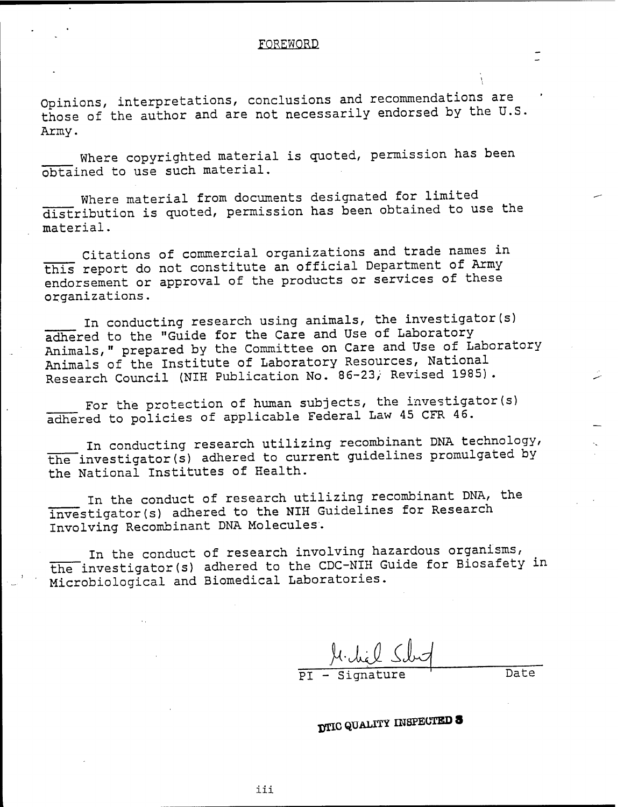#### FOREWORD

Opinions, interpretations, conclusions and recommendations are those of the author and are not necessarily endorsed by the U.S. Army.

Where copyrighted material is quoted, permission has been obtained to use such material.

Where material from documents designated for limited distribution is quoted, permission has been obtained to use the material.

Citations of commercial organizations and trade names in this report do not constitute an official Department of Army endorsement or approval of the products or services of these organizations.

In conducting research using animals, the investigator(s) adhered to the "Guide for the Care and Use of Laboratory Animals," prepared by the Committee on Care and Use of Laboratory Animals of the Institute of Laboratory Resources, National Research Council (NIH Publication No. 86-23/ Revised 1985).

For the protection of human subjects, the investigator(s) adhered to policies of applicable Federal Law 45 CFR 46.

In conducting research utilizing recombinant DNA technology, the investigator(s) adhered to current guidelines promulgated by the National Institutes of Health.

In the conduct of research utilizing recombinant DNA, the investigator(s) adhered to the NIH Guidelines for Research Involving Recombinant DNA Molecules.

In the conduct of research involving hazardous organisms,  $\overline{\text{the}}$  investigator(s) adhered to the CDC-NIH Guide for Biosafety in Microbiological and Biomedical Laboratories.

*M. die*l S. PI - Signature ' Date

*jfSlC* **QUALTTY INSPECTED 8**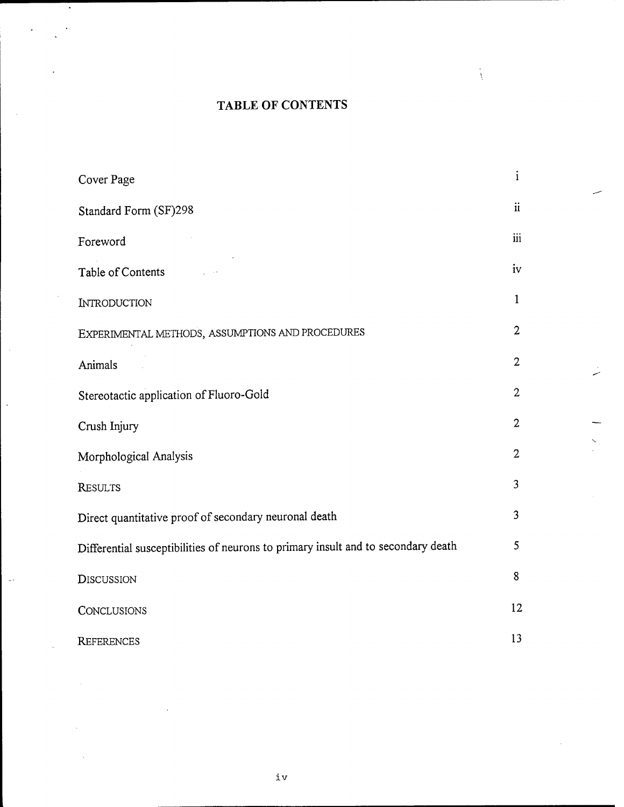# TABLE OF CONTENTS

À

| Cover Page                                                                        | $\mathbf{i}$        |
|-----------------------------------------------------------------------------------|---------------------|
| Standard Form (SF)298                                                             | $\ddot{\mathbf{u}}$ |
| Foreword                                                                          | $\ddot{\text{iii}}$ |
| Table of Contents                                                                 | iv                  |
| <b>INTRODUCTION</b>                                                               | $\mathbf{1}$        |
| EXPERIMENTAL METHODS, ASSUMPTIONS AND PROCEDURES                                  | $\overline{2}$      |
| Animals                                                                           | $\overline{2}$      |
| Stereotactic application of Fluoro-Gold                                           | $\overline{2}$      |
| Crush Injury                                                                      | $\overline{2}$      |
| Morphological Analysis                                                            | $\overline{2}$      |
| <b>RESULTS</b>                                                                    | $\overline{3}$      |
| Direct quantitative proof of secondary neuronal death                             | $\overline{3}$      |
| Differential susceptibilities of neurons to primary insult and to secondary death | 5                   |
| <b>DISCUSSION</b>                                                                 | 8                   |
| <b>CONCLUSIONS</b>                                                                | 12                  |
| <b>REFERENCES</b>                                                                 | 13                  |

 $\hat{\mathcal{L}}$ 

 $\sim$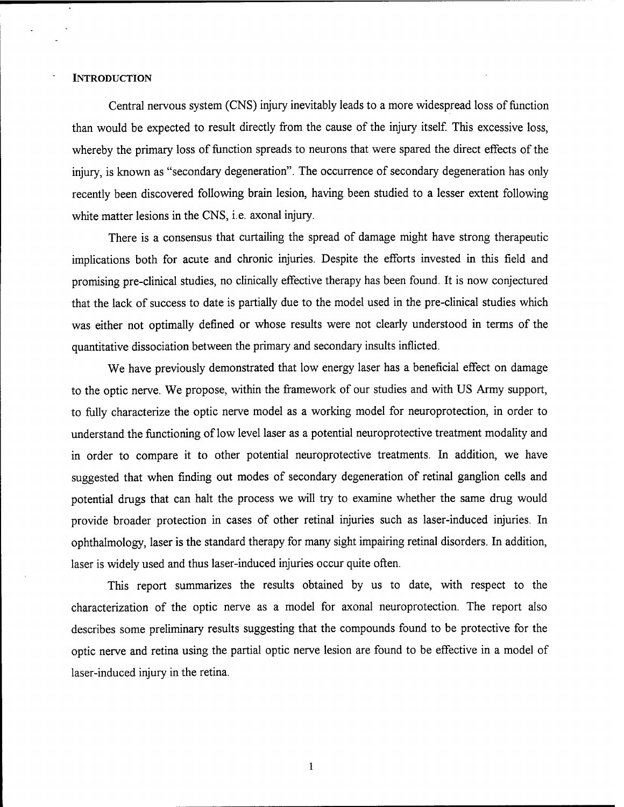#### **INTRODUCTION**

Central nervous system (CNS) injury inevitably leads to a more widespread loss of function than would be expected to result directly from the cause of the injury itself. This excessive loss, whereby the primary loss of function spreads to neurons that were spared the direct effects of the injury, is known as "secondary degeneration". The occurrence of secondary degeneration has only recently been discovered following brain lesion, having been studied to a lesser extent following white matter lesions in the CNS, i.e. axonal injury.

There is a consensus that curtailing the spread of damage might have strong therapeutic implications both for acute and chronic injuries. Despite the efforts invested in this field and promising pre-clinical studies, no clinically effective therapy has been found. It is now conjectured that the lack of success to date is partially due to the model used in the pre-clinical studies which was either not optimally defined or whose results were not clearly understood in terms of the quantitative dissociation between the primary and secondary insults inflicted.

We have previously demonstrated that low energy laser has a beneficial effect on damage to the optic nerve. We propose, within the framework of our studies and with US Army support, to fully characterize the optic nerve model as a working model for neuroprotection, in order to understand the functioning of low level laser as a potential neuroprotective treatment modality and in order to compare it to other potential neuroprotective treatments. In addition, we have suggested that when finding out modes of secondary degeneration of retinal ganglion cells and potential drugs that can halt the process we will try to examine whether the same drug would provide broader protection in cases of other retinal injuries such as laser-induced injuries. In ophthalmology, laser is the standard therapy for many sight impairing retinal disorders. In addition, laser is widely used and thus laser-induced injuries occur quite often.

This report summarizes the results obtained by us to date, with respect to the characterization of the optic nerve as a model for axonal neuroprotection. The report also describes some preliminary results suggesting that the compounds found to be protective for the optic nerve and retina using the partial optic nerve lesion are found to be effective in a model of laser-induced injury in the retina.

 $\mathbf 1$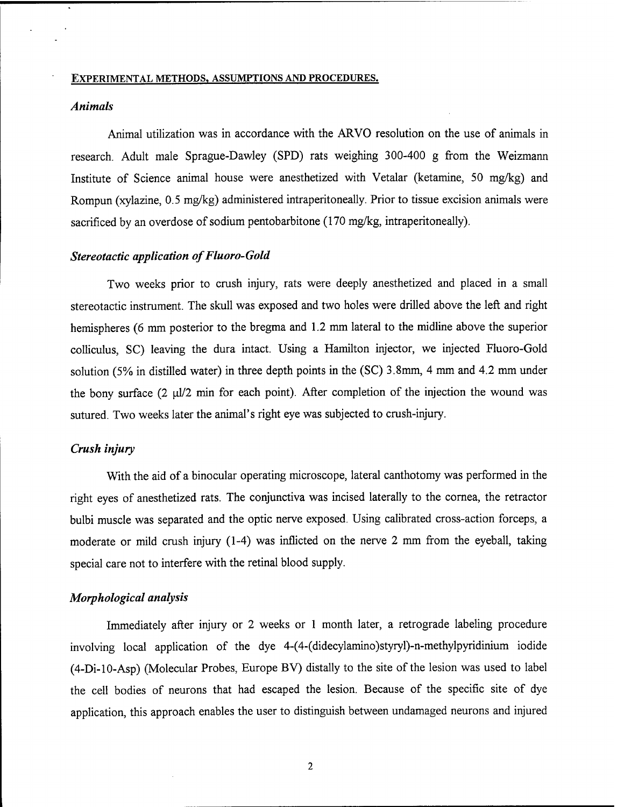#### EXPERIMENTAL METHODS, ASSUMPTIONS AND PROCEDURES.

# *Animals*

Animal utilization was in accordance with the ARVO resolution on the use of animals in research. Adult male Sprague-Dawley (SPD) rats weighing 300-400 g from the Weizmann Institute of Science animal house were anesthetized with Vetalar (ketamine, 50 mg/kg) and Rompun (xylazine, 0.5 mg/kg) administered intraperitoneally. Prior to tissue excision animals were sacrificed by an overdose of sodium pentobarbitone (170 mg/kg, intraperitoneally).

#### **Stereotactic application of Fluoro-Gold**

Two weeks prior to crush injury, rats were deeply anesthetized and placed in a small stereotactic instrument. The skull was exposed and two holes were drilled above the left and right hemispheres (6 mm posterior to the bregma and 1.2 mm lateral to the midline above the superior colliculus, SC) leaving the dura intact. Using a Hamilton injector, we injected Fluoro-Gold solution (5% in distilled water) in three depth points in the (SC) 3.8mm, 4 mm and 4.2 mm under the bony surface  $(2 \mu l/2 \text{ min}$  for each point). After completion of the injection the wound was sutured. Two weeks later the animal's right eye was subjected to crush-injury.

# *Crush injury*

With the aid of a binocular operating microscope, lateral canthotomy was performed in the right eyes of anesthetized rats. The conjunctiva was incised laterally to the cornea, the retractor bulbi muscle was separated and the optic nerve exposed. Using calibrated cross-action forceps, a moderate or mild crush injury (1-4) was inflicted on the nerve 2 mm from the eyeball, taking special care not to interfere with the retinal blood supply.

# *Morphological analysis*

Immediately after injury or 2 weeks or <sup>1</sup> month later, a retrograde labeling procedure involving local application of the dye 4-(4-(didecylamino)styryl)-n-methylpyridinium iodide (4-Di-10-Asp) (Molecular Probes, Europe BV) distally to the site of the lesion was used to label the cell bodies of neurons that had escaped the lesion. Because of the specific site of dye application, this approach enables the user to distinguish between undamaged neurons and injured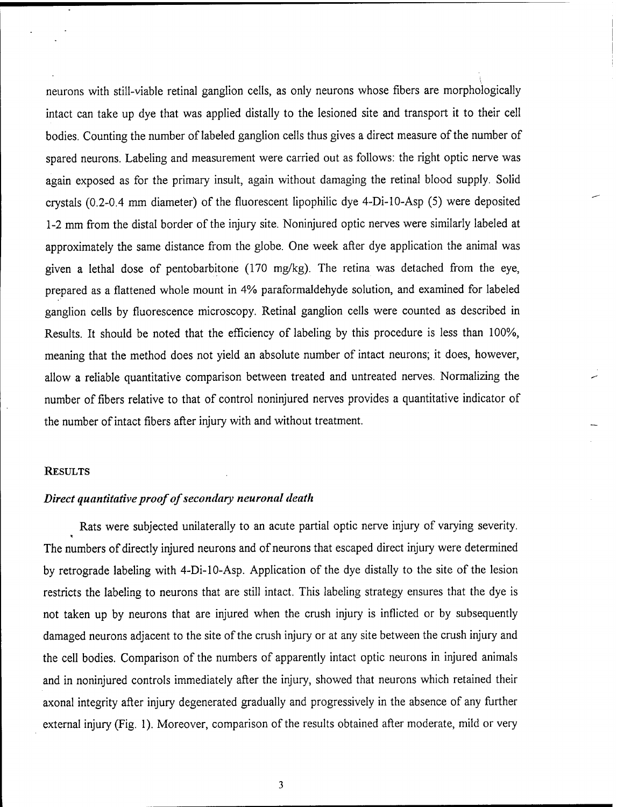neurons with still-viable retinal ganglion cells, as only neurons whose fibers are morphologically intact can take up dye that was applied distally to the lesioned site and transport it to their cell bodies. Counting the number of labeled ganglion cells thus gives a direct measure of the number of spared neurons. Labeling and measurement were carried out as follows: the right optic nerve was again exposed as for the primary insult, again without damaging the retinal blood supply. Solid crystals (0.2-0.4 mm diameter) of the fluorescent lipophilic dye 4-Di-10-Asp (5) were deposited 1-2 mm from the distal border of the injury site. Noninjured optic nerves were similarly labeled at approximately the same distance from the globe. One week after dye application the animal was given a lethal dose of pentobarbitone (170 mg/kg). The retina was detached from the eye, prepared as a flattened whole mount in 4% paraformaldehyde solution, and examined for labeled ganglion cells by fluorescence microscopy. Retinal ganglion cells were counted as described in Results. It should be noted that the efficiency of labeling by this procedure is less than 100%, meaning that the method does not yield an absolute number of intact neurons; it does, however, allow a reliable quantitative comparison between treated and untreated nerves. Normalizing the number of fibers relative to that of control noninjured nerves provides a quantitative indicator of the number of intact fibers after injury with and without treatment.

#### RESULTS

# *Direct quantitative proofofsecondary neuronal death*

Rats were subjected unilaterally to an acute partial optic nerve injury of varying severity. The numbers of directly injured neurons and of neurons that escaped direct injury were determined by retrograde labeling with 4-Di-10-Asp. Application of the dye distally to the site of the lesion restricts the labeling to neurons that are still intact. This labeling strategy ensures that the dye is not taken up by neurons that are injured when the crush injury is inflicted or by subsequently damaged neurons adjacent to the site of the crush injury or at any site between the crush injury and the cell bodies. Comparison of the numbers of apparently intact optic neurons in injured animals and in noninjured controls immediately after the injury, showed that neurons which retained their axonal integrity after injury degenerated gradually and progressively in the absence of any further external injury (Fig. 1). Moreover, comparison of the results obtained after moderate, mild or very

 $\mathfrak{Z}$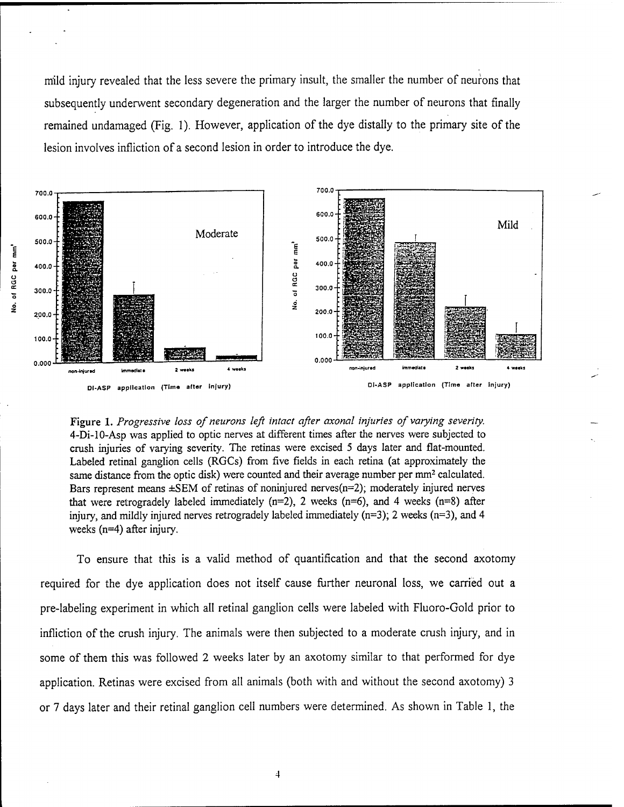m'ild injury revealed that the less severe the primary insult, the smaller the number of neurons that subsequently underwent secondary degeneration and the larger the number of neurons that finally remained undamaged (Fig. 1). However, application of the dye distally to the primary site of the lesion involves infliction of a second lesion in order to introduce the dye.



Figure 1. *Progressive loss of neurons left intact after axonal injuries of varying severity.* 4-Di-10-Asp was applied to optic nerves at different times after the nerves were subjected to crush injuries of varying severity. The retinas were excised <sup>5</sup> days later and flat-mounted. Labeled retinal ganglion cells (RGCs) from five fields in each retina (at approximately the same distance from the optic disk) were counted and their average number per mm<sup>2</sup> calculated. Bars represent means  $\pm$ SEM of retinas of noninjured nerves(n=2); moderately injured nerves that were retrogradely labeled immediately  $(n=2)$ , 2 weeks  $(n=6)$ , and 4 weeks  $(n=8)$  after injury, and mildly injured nerves retrogradely labeled immediately  $(n=3)$ ; 2 weeks  $(n=3)$ , and 4 weeks (n=4) after injury.

To ensure that this is a valid method of quantification and that the second axotomy required for the dye application does not itself cause further neuronal loss, we carried out a pre-labeling experiment in which all retinal ganglion cells were labeled with Fluoro-Gold prior to infliction of the crush injury. The animals were then subjected to a moderate crush injury, and in some of them this was followed 2 weeks later by an axotomy similar to that performed for dye application. Retinas were excised from all animals (both with and without the second axotomy) 3 or 7 days later and their retinal ganglion cell numbers were determined. As shown in Table 1, the

**u (3E**

֞֟֟֜֟׆֞֝<br>֞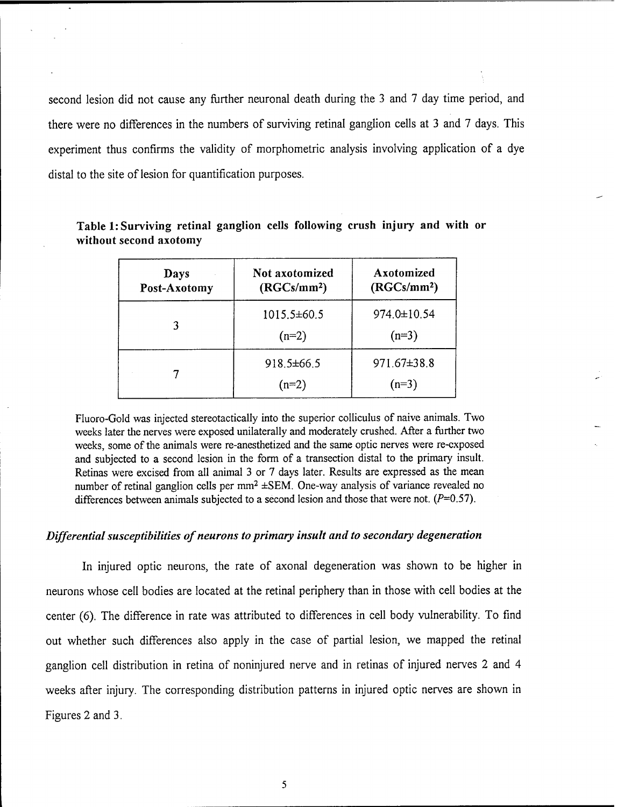second lesion did not cause any further neuronal death during the 3 and 7 day time period, and there were no differences in the numbers of surviving retinal ganglion cells at <sup>3</sup> and 7 days. This experiment thus confirms the validity of morphometric analysis involving application of a dye distal to the site of lesion for quantification purposes.

| Days<br>Post-Axotomy | <b>Not axotomized</b><br>(RGCs/mm <sup>2</sup> ) | Axotomized<br>(RGCs/mm <sup>2</sup> ) |
|----------------------|--------------------------------------------------|---------------------------------------|
|                      | $1015.5\pm 60.5$<br>$(n=2)$                      | 974.0±10.54<br>$(n=3)$                |
|                      | $918.5 \pm 66.5$<br>$(n=2)$                      | 971.67±38.8<br>$(n=3)$                |

**Table 1: Surviving retinal ganglion cells following crush injury and with or without second axotomy**

Fluoro-Gold was injected stereotactically into the superior colliculus of naive animals. Two weeks later the nerves were exposed unilaterally and moderately crushed. After a further two weeks, some of the animals were re-anesthetized and the same optic nerves were re-cxposed and subjected to a second lesion in the form of a transection distal to the primary insult. Retinas were excised from all animal 3 or 7 days later. Results are expressed as the mean number of retinal ganglion cells per mm<sup>2</sup> ±SEM. One-way analysis of variance revealed no differences between animals subjected to a second lesion and those that were not.  $(P=0.57)$ .

# *Differential susceptibilities ofneurons to primary insult and to secondary degeneration*

In injured optic neurons, the rate of axonal degeneration was shown to be higher in neurons whose cell bodies are located at the retinal periphery than in those with cell bodies at the center (6). The difference in rate was attributed to differences in cell body vulnerability. To find out whether such differences also apply in the case of partial lesion, we mapped the retinal ganglion cell distribution in retina of noninjured nerve and in retinas of injured nerves 2 and 4 weeks after injury. The corresponding distribution patterns in injured optic nerves are shown in Figures 2 and 3.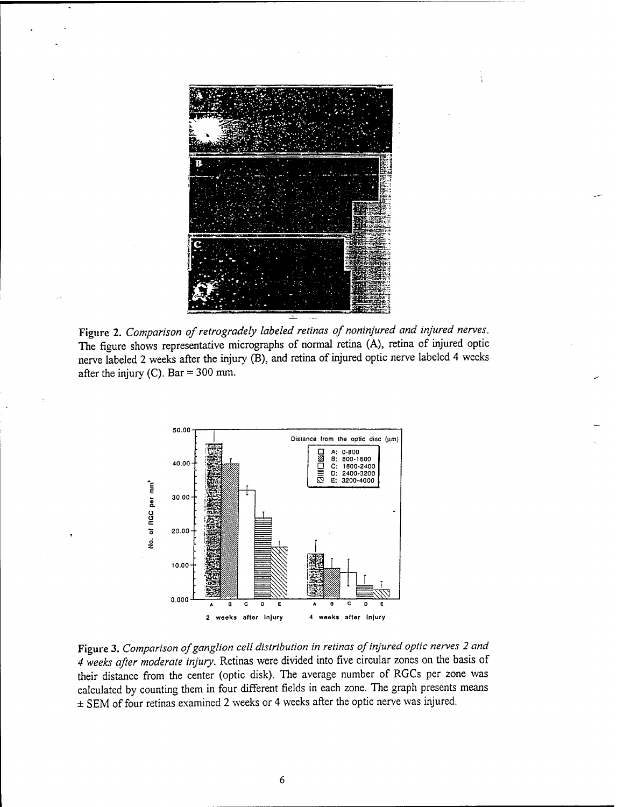

**Figure 2.** *Comparison ofretrogradely labeled retinas of noninjured and injured nerves.* The figure shows representative micrographs of normal retina (A), retina of injured optic nerve labeled 2 weeks after the injury (B), and retina of injured optic nerve labeled 4 weeks after the injury (C). Bar  $=$  300 mm.



**Figure** 3. *Comparison ofganglion cell distribution in retinas ofinjured optic nerves 2 and 4 weeks after moderate injury.* Retinas were divided into five circular zones on the basis of their distance from the center (optic disk). The average number of RGCs per zone was calculated by counting them in four different fields in each zone. The graph presents means  $\pm$  SEM of four retinas examined 2 weeks or 4 weeks after the optic nerve was injured.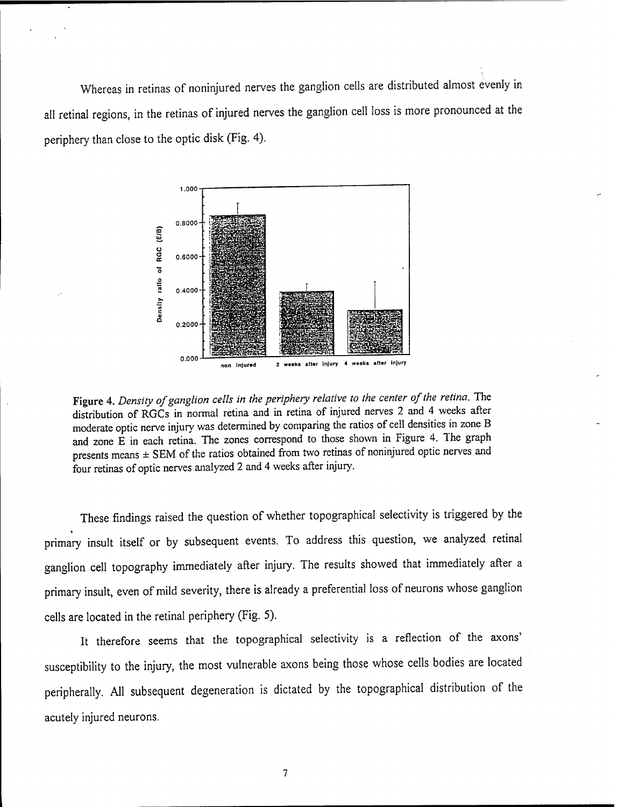Whereas in retinas of noninjured nerves the ganglion cells are distributed almost evenly in all retinal regions, in the retinas of injured nerves the ganglion cell loss is more pronounced at the periphery than close to the optic disk (Fig. 4).



Figure 4. *Density ofganglion cells in the periphery relative to the center ofthe retina.* The distribution of RGCs in normal retina and in retina of injured nerves 2 and 4 weeks after moderate optic nerve injury was determined by comparing the ratios of cell densities in zone B and zone E in each retina. The zones correspond to those shown in Figure 4. The graph presents means ± SEM of the ratios obtained from two retinas of noninjured optic nerves and four retinas of optic nerves analyzed 2 and 4 weeks after injury.

These findings raised the question of whether topographical selectivity is triggered by the primary insult itself or by subsequent events. To address this question, we analyzed retinal ganglion cell topography immediately after injury. The results showed that immediately after a primary insult, even of mild severity, there is already a preferential loss of neurons whose ganglion cells are located in the retinal periphery (Fig. 5).

It therefore seems that the topographical selectivity is a reflection of the axons' susceptibility to the injury, the most vulnerable axons being those whose cells bodies are located peripherally. All subsequent degeneration is dictated by the topographical distribution of the acutely injured neurons.

 $\overline{7}$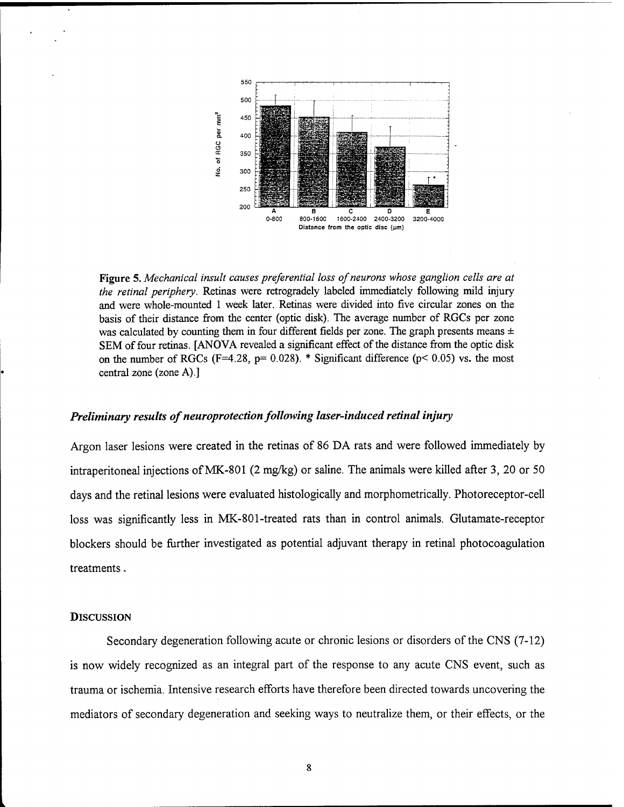

**Figure 5.** *Mechanical insult causes preferential loss ofneurons whose ganglion cells are at the retinal periphery.* Retinas were retrogradely labeled immediately following mild injury and were whole-mounted <sup>1</sup> week later. Retinas were divided into five circular zones on the basis of their distance from the center (optic disk). The average number of RGCs per zone was calculated by counting them in four different fields per zone. The graph presents means  $\pm$ SEM of four retinas. [ANOVA revealed a significant effect of the distance from the optic disk on the number of RGCs (F=4.28, p= 0.028). \* Significant difference ( $p$ < 0.05) vs. the most central zone (zone A).]

### *Preliminary results of neuroprotection following laser-induced retinal injury*

Argon laser lesions were created in the retinas of 86 DA rats and were followed immediately by intraperitoneal injections ofMK-801 (2 mg/kg) or saline. The animals were killed after 3, 20 or 50 days and the retinal lesions were evaluated histologically and morphometrically. Photoreceptor-cell loss was significantly less in MK-801-treated rats than in control animals. Glutamate-receptor blockers should be further investigated as potential adjuvant therapy in retinal photocoagulation treatments,

#### **DISCUSSION**

Secondary degeneration following acute or chronic lesions or disorders of the CNS (7-12) is now widely recognized as an integral part of the response to any acute CNS event, such as trauma or ischemia. Intensive research efforts have therefore been directed towards uncovering the mediators of secondary degeneration and seeking ways to neutralize them, or their effects, or the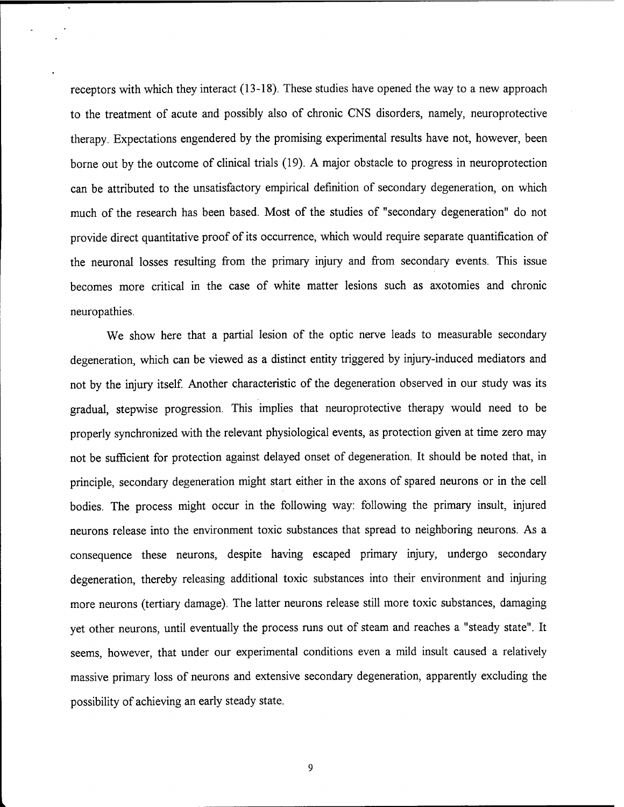receptors with which they interact (13-18). These studies have opened the way to a new approach to the treatment of acute and possibly also of chronic CNS disorders, namely, neuroprotective therapy. Expectations engendered by the promising experimental results have not, however, been borne out by the outcome of clinical trials (19). A major obstacle to progress in neuroprotection can be attributed to the unsatisfactory empirical definition of secondary degeneration, on which much of the research has been based. Most of the studies of "secondary degeneration" do not provide direct quantitative proof of its occurrence, which would require separate quantification of the neuronal losses resulting from the primary injury and from secondary events. This issue becomes more critical in the case of white matter lesions such as axotomies and chronic neuropathies.

We show here that a partial lesion of the optic nerve leads to measurable secondary degeneration, which can be viewed as a distinct entity triggered by injury-induced mediators and not by the injury itself. Another characteristic of the degeneration observed in our study was its gradual, stepwise progression. This implies that neuroprotective therapy would need to be properly synchronized with the relevant physiological events, as protection given at time zero may not be sufficient for protection against delayed onset of degeneration. It should be noted that, in principle, secondary degeneration might start either in the axons of spared neurons or in the cell bodies. The process might occur in the following way: following the primary insult, injured neurons release into the environment toxic substances that spread to neighboring neurons. As a consequence these neurons, despite having escaped primary injury, undergo secondary degeneration, thereby releasing additional toxic substances into their environment and injuring more neurons (tertiary damage). The latter neurons release still more toxic substances, damaging yet other neurons, until eventually the process runs out of steam and reaches a "steady state". It seems, however, that under our experimental conditions even a mild insult caused a relatively massive primary loss of neurons and extensive secondary degeneration, apparently excluding the possibility of achieving an early steady state.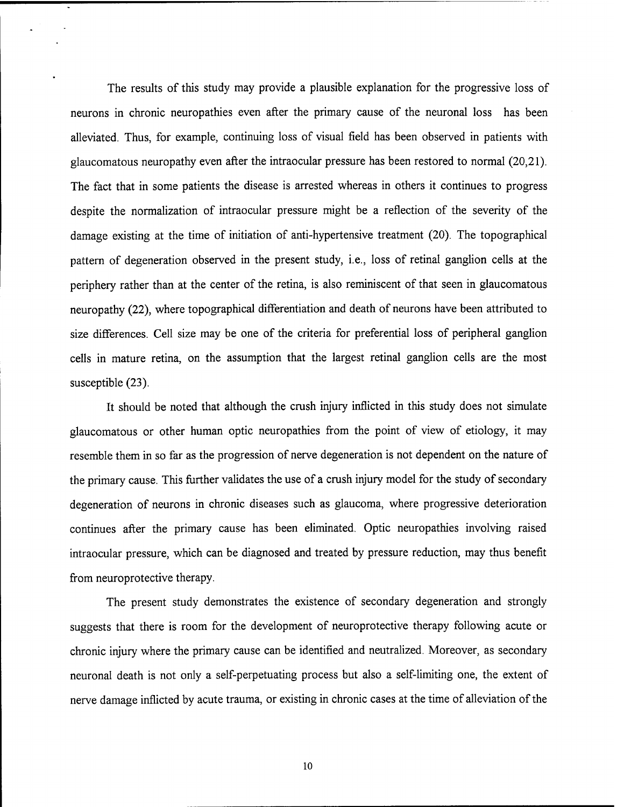The results of this study may provide a plausible explanation for the progressive loss of neurons in chronic neuropathies even after the primary cause of the neuronal loss has been alleviated. Thus, for example, continuing loss of visual field has been observed in patients with glaucomatous neuropathy even after the intraocular pressure has been restored to normal (20,21). The fact that in some patients the disease is arrested whereas in others it continues to progress despite the normalization of intraocular pressure might be a reflection of the severity of the damage existing at the time of initiation of anti-hypertensive treatment (20). The topographical pattern of degeneration observed in the present study, i.e., loss of retinal ganglion cells at the periphery rather than at the center of the retina, is also reminiscent of that seen in glaucomatous neuropathy (22), where topographical differentiation and death of neurons have been attributed to size differences. Cell size may be one of the criteria for preferential loss of peripheral ganglion cells in mature retina, on the assumption that the largest retinal ganglion cells are the most susceptible  $(23)$ .

It should be noted that although the crush injury inflicted in this study does not simulate glaucomatous or other human optic neuropathies from the point of view of etiology, it may resemble them in so far as the progression of nerve degeneration is not dependent on the nature of the primary cause. This further validates the use of a crush injury model for the study of secondary degeneration of neurons in chronic diseases such as glaucoma, where progressive deterioration continues after the primary cause has been eliminated. Optic neuropathies involving raised intraocular pressure, which can be diagnosed and treated by pressure reduction, may thus benefit from neuroprotective therapy.

The present study demonstrates the existence of secondary degeneration and strongly suggests that there is room for the development of neuroprotective therapy following acute or chronic injury where the primary cause can be identified and neutralized. Moreover, as secondary neuronal death is not only a self-perpetuating process but also a self-limiting one, the extent of nerve damage inflicted by acute trauma, or existing in chronic cases at the time of alleviation of the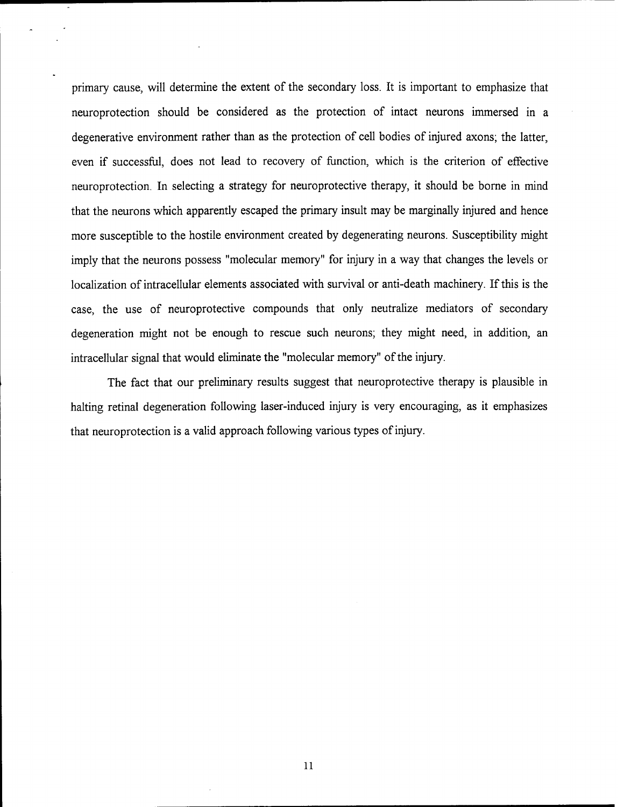primary cause, will determine the extent of the secondary loss. It is important to emphasize that neuroprotection should be considered as the protection of intact neurons immersed in a degenerative environment rather than as the protection of cell bodies of injured axons; the latter, even if successful, does not lead to recovery of function, which is the criterion of effective neuroprotection. In selecting a strategy for neuroprotective therapy, it should be borne in mind that the neurons which apparently escaped the primary insult may be marginally injured and hence more susceptible to the hostile environment created by degenerating neurons. Susceptibility might imply that the neurons possess "molecular memory" for injury in a way that changes the levels or localization of intracellular elements associated with survival or anti-death machinery. If this is the case, the use of neuroprotective compounds that only neutralize mediators of secondary degeneration might not be enough to rescue such neurons; they might need, in addition, an intracellular signal that would eliminate the "molecular memory" of the injury.

The fact that our preliminary results suggest that neuroprotective therapy is plausible in halting retinal degeneration following laser-induced injury is very encouraging, as it emphasizes that neuroprotection is a valid approach following various types of injury.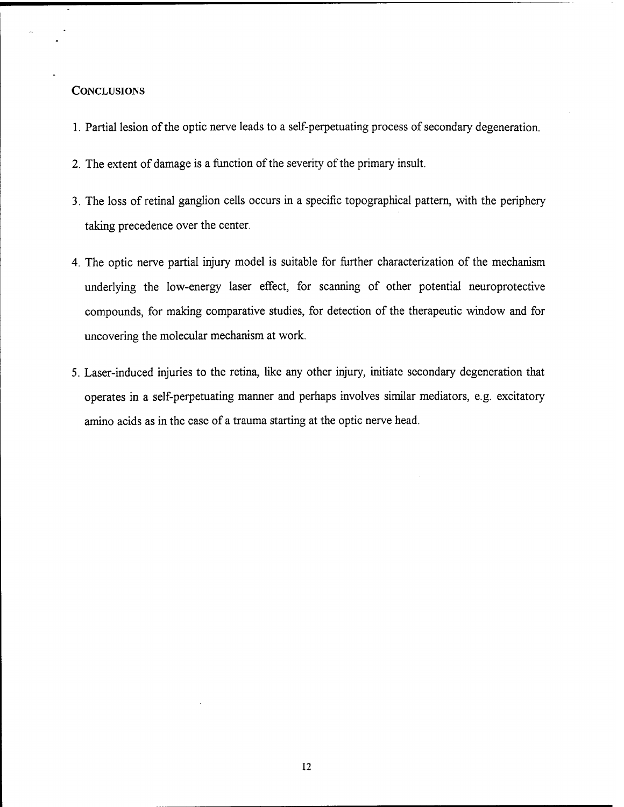# **CONCLUSIONS**

- 1. Partial lesion of the optic nerve leads to a self-perpetuating process of secondary degeneration.
- 2. The extent of damage is a function of the severity of the primary insult.
- 3. The loss of retinal ganglion cells occurs in a specific topographical pattern, with the periphery taking precedence over the center.
- 4. The optic nerve partial injury model is suitable for further characterization of the mechanism underlying the low-energy laser effect, for scanning of other potential neuroprotective compounds, for making comparative studies, for detection of the therapeutic window and for uncovering the molecular mechanism at work.
- 5. Laser-induced injuries to the retina, like any other injury, initiate secondary degeneration that operates in a self-perpetuating manner and perhaps involves similar mediators, e.g. excitatory amino acids as in the case of a trauma starting at the optic nerve head.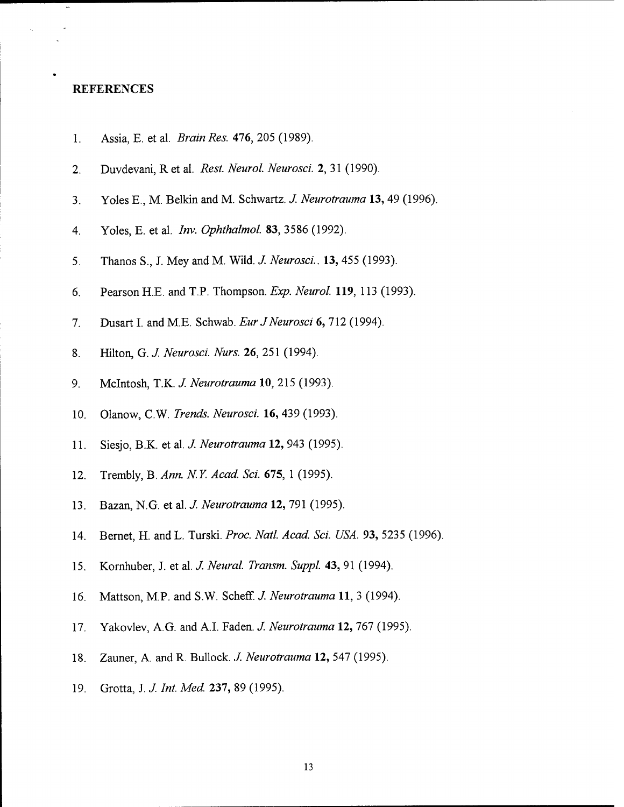#### **REFERENCES**

- 1. Assia, E. et al. *Brain Res. 476,* 205 (1989).
- 2. Duvdevani, R et al. *Rest. Neurol. Neurosci.* 2, 31 (1990).
- 3. Yoles E., M. Belkin and M. Schwartz. *J. Neurotrauma* **13,** 49 (1996).
- 4. Yoles, E. et al. *Inv. Ophthalmol.* 83, 3586 (1992).
- 5. Thanos S., J. Mey and M. Wild. *J. Neurosci..* **13,** 455 (1993).
- 6. Pearson H.E. and T.P. Thompson. *Exp. Neurol.* **119,** 113 (1993).
- 7. Dusart I. and M.E. Schwab. *Eur JNeurosci* 6, 712 (1994).
- 8. Hilton, G. *J. Neurosci. Nurs.* **26,** 251 (1994).
- 9. Mclntosh, T.K. *J. Neurotrauma* 10, 215 (1993).
- 10. Olanow, C.W. *Trends. Neurosci.* **16,** 439 (1993).
- 11. Siesjo, B.K. et al. *J. Neurotrauma* **12,** 943 (1995).
- 12. Trembly, B. *Ann. NY. Acad. Sei.* **675,** <sup>1</sup> (1995).
- 13. Bazan, N.G. et al. *J. Neurotrauma* **12,** 791 (1995).
- 14. Bernet, H. and L. Turski. *Proc. Natl. Acad. Sei. USA.* **93,** 5235 (1996).
- 15. Komhuber, J. et al. *J. Neural. Transm. Suppl.* **43,** 91 (1994).
- 16. Mattson, M.P. and S.W. Scheff. *J. Neurotrauma* **11,** 3 (1994).
- 17. Yakovlev, A.G. and A.I. Faden. *J. Neurotrauma* **12,** 767 (1995).
- 18. Zauner, A. and R. Bullock. *J. Neurotrauma* **12,** 547 (1995).
- 19. Grotta, J. *J. Int. Med.* **237,** 89 (1995).